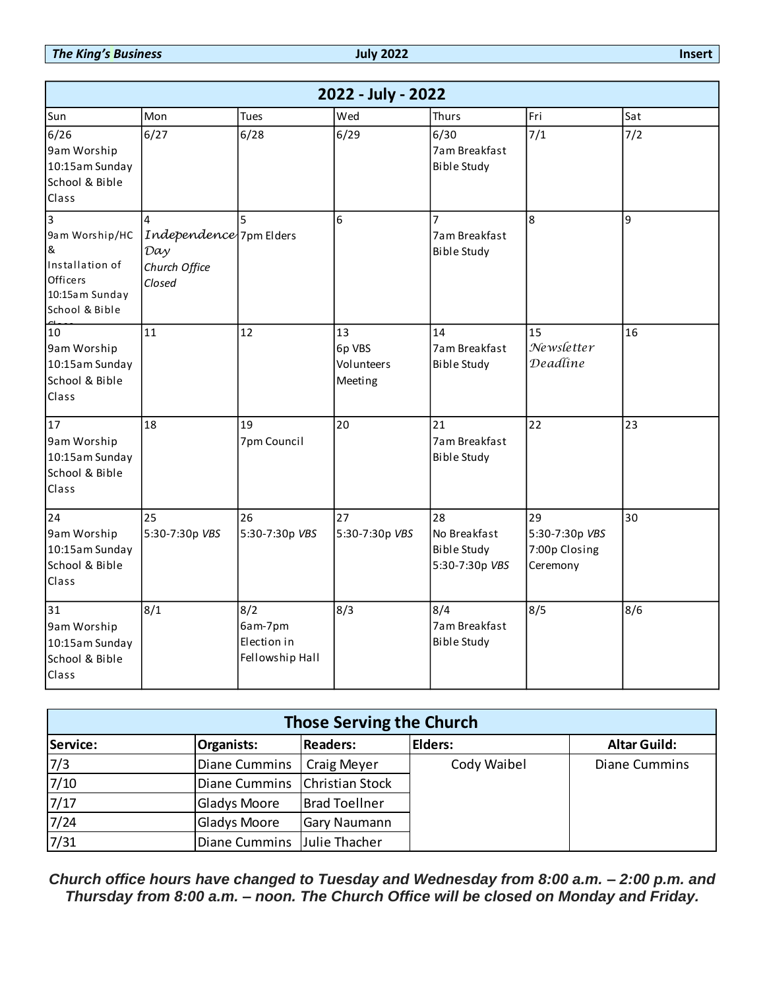*The King's Business* **July 2022 Insert**

|                                                                                                                       |                                                           |               |                                                  |                        | 2022 - July - 2022                    |         |                                                            |                                                   |  |                     |
|-----------------------------------------------------------------------------------------------------------------------|-----------------------------------------------------------|---------------|--------------------------------------------------|------------------------|---------------------------------------|---------|------------------------------------------------------------|---------------------------------------------------|--|---------------------|
| Sun                                                                                                                   | Mon                                                       |               | Tues                                             |                        | Wed                                   |         | Thurs                                                      | Fri                                               |  | Sat                 |
| 6/26<br>9am Worship<br>10:15am Sunday<br>School & Bible<br>Class                                                      | 6/27                                                      |               | 6/28                                             |                        | 6/29                                  |         | 6/30<br>7am Breakfast<br><b>Bible Study</b>                | 7/1                                               |  | 7/2                 |
| $\overline{3}$<br>9am Worship/HC<br>8 <sub>k</sub><br>Installation of<br>Officers<br>10:15am Sunday<br>School & Bible | 4<br>Day<br>Church Office<br>Closed                       |               | Independence 7pm Elders                          |                        | 6                                     |         | 7am Breakfast<br><b>Bible Study</b>                        | 8                                                 |  | 9                   |
| 10<br>9am Worship<br>10:15am Sunday<br>School & Bible<br>Class                                                        | 11                                                        |               | 12                                               |                        | 13<br>6p VBS<br>Volunteers<br>Meeting |         | 14<br>7am Breakfast<br><b>Bible Study</b>                  | 15<br>Newsletter<br>Deadline                      |  | 16                  |
| 17<br>9am Worship<br>10:15am Sunday<br>School & Bible<br>Class                                                        | 18                                                        |               | 19<br>7pm Council                                |                        | 20                                    |         | 21<br>7am Breakfast<br><b>Bible Study</b>                  | 22                                                |  | 23                  |
| 24<br>9am Worship<br>10:15am Sunday<br>School & Bible<br>Class                                                        | 25<br>5:30-7:30p VBS                                      |               | 26<br>5:30-7:30p VBS                             |                        | 27<br>5:30-7:30p VBS                  |         | 28<br>No Breakfast<br><b>Bible Study</b><br>5:30-7:30p VBS | 29<br>5:30-7:30p VBS<br>7:00p Closing<br>Ceremony |  | 30                  |
| 31<br>9am Worship<br>10:15am Sunday<br>School & Bible<br>Class                                                        | 8/1                                                       |               | 8/2<br>6am-7pm<br>Election in<br>Fellowship Hall |                        | 8/3                                   |         | 8/4<br>7am Breakfast<br><b>Bible Study</b>                 | 8/5                                               |  | 8/6                 |
|                                                                                                                       |                                                           |               |                                                  |                        | <b>Those Serving the Church</b>       |         |                                                            |                                                   |  |                     |
| Service:                                                                                                              |                                                           | Organists:    |                                                  | <b>Readers:</b>        |                                       | Elders: |                                                            |                                                   |  | <b>Altar Guild:</b> |
| 7/3                                                                                                                   | <b>Diane Cummins</b><br>Cody Waibel<br><b>Craig Meyer</b> |               |                                                  | <b>Diane Cummins</b>   |                                       |         |                                                            |                                                   |  |                     |
| 7/10                                                                                                                  |                                                           | Diane Cummins |                                                  | <b>Christian Stock</b> |                                       |         |                                                            |                                                   |  |                     |
| 7/17                                                                                                                  |                                                           |               | <b>Gladys Moore</b>                              |                        | <b>Brad Toellner</b>                  |         |                                                            |                                                   |  |                     |
| 7/24                                                                                                                  |                                                           |               | <b>Gladys Moore</b>                              |                        | Gary Naumann                          |         |                                                            |                                                   |  |                     |
| 7/31                                                                                                                  |                                                           | Diane Cummins |                                                  | Julie Thacher          |                                       |         |                                                            |                                                   |  |                     |

| <b>Those Serving the Church</b> |                                 |                      |                |                      |
|---------------------------------|---------------------------------|----------------------|----------------|----------------------|
| Service:                        | <b>Organists:</b>               | <b>Readers:</b>      | <b>Elders:</b> | <b>Altar Guild:</b>  |
| 7/3                             | Diane Cummins                   | <b>Craig Meyer</b>   | Cody Waibel    | <b>Diane Cummins</b> |
| $7/10$                          | Diane Cummins   Christian Stock |                      |                |                      |
| $7/17$                          | <b>Gladys Moore</b>             | <b>Brad Toellner</b> |                |                      |
| 7/24                            | <b>Gladys Moore</b>             | <b>Gary Naumann</b>  |                |                      |
| 7/31                            | Diane Cummins Julie Thacher     |                      |                |                      |

*Church office hours have changed to Tuesday and Wednesday from 8:00 a.m. – 2:00 p.m. and*